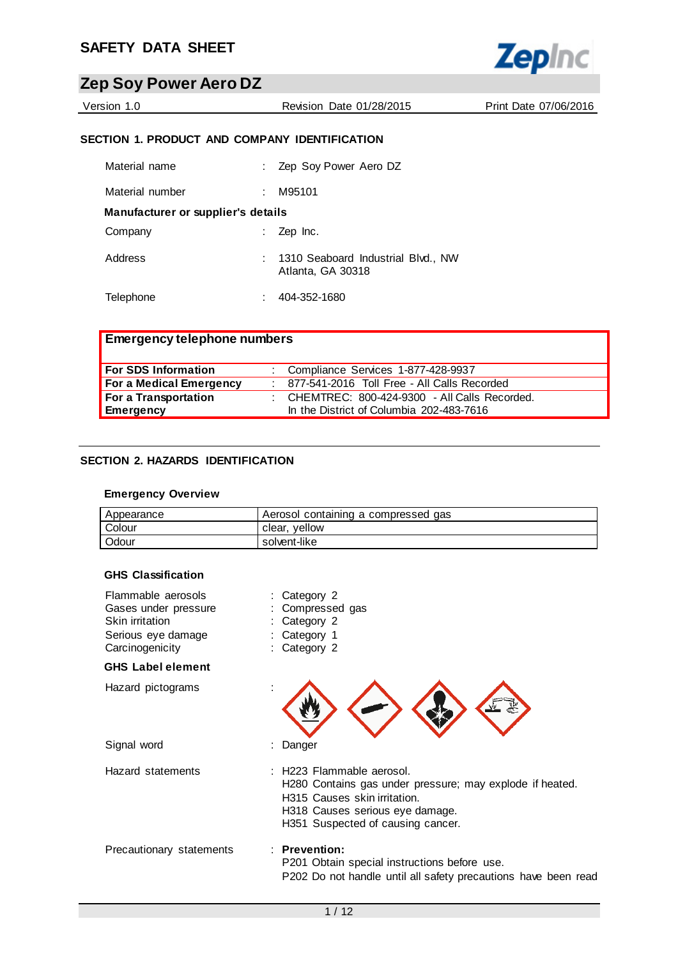

Version 1.0 Revision Date 01/28/2015 Print Date 07/06/2016

## **SECTION 1. PRODUCT AND COMPANY IDENTIFICATION**

| Material name                      | Zep Soy Power Aero DZ                                   |
|------------------------------------|---------------------------------------------------------|
| Material number                    | M95101                                                  |
| Manufacturer or supplier's details |                                                         |
| Company                            | Zep Inc.                                                |
| Address                            | 1310 Seaboard Industrial Blvd., NW<br>Atlanta, GA 30318 |
| Telephone                          | 404-352-1680                                            |

| <b>Emergency telephone numbers</b> |  |                                                |
|------------------------------------|--|------------------------------------------------|
| For SDS Information                |  | : Compliance Services 1-877-428-9937           |
| For a Medical Emergency            |  | : 877-541-2016 Toll Free - All Calls Recorded  |
| For a Transportation               |  | : CHEMTREC: 800-424-9300 - All Calls Recorded. |
| Emergency                          |  | In the District of Columbia 202-483-7616       |

## **SECTION 2. HAZARDS IDENTIFICATION**

#### **Emergency Overview**

| Appearance | Aerosol containing a compressed gas |
|------------|-------------------------------------|
| Colour     | vellow<br>clear,                    |
| Odour      | solvent-like                        |

### **GHS Classification**

| Flammable aerosols<br>Gases under pressure<br>Skin irritation<br>Serious eye damage<br>Carcinogenicity | : Category 2<br>Compressed gas<br>: Category 2<br>: Category 1<br>: Category 2                                                                                                                |
|--------------------------------------------------------------------------------------------------------|-----------------------------------------------------------------------------------------------------------------------------------------------------------------------------------------------|
| <b>GHS Label element</b>                                                                               |                                                                                                                                                                                               |
| Hazard pictograms                                                                                      |                                                                                                                                                                                               |
| Signal word                                                                                            | : Danger                                                                                                                                                                                      |
| Hazard statements                                                                                      | : H223 Flammable aerosol.<br>H280 Contains gas under pressure; may explode if heated.<br>H315 Causes skin irritation.<br>H318 Causes serious eye damage.<br>H351 Suspected of causing cancer. |
| Precautionary statements                                                                               | $:$ Prevention:<br>P201 Obtain special instructions before use.<br>P202 Do not handle until all safety precautions have been read                                                             |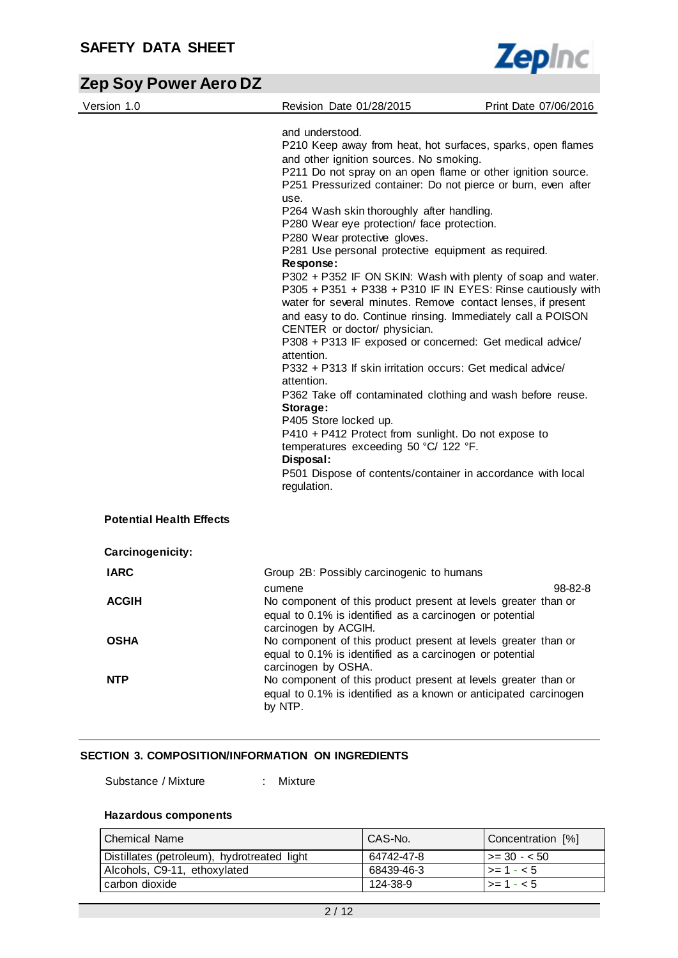

| Version 1.0                     | Revision Date 01/28/2015                                                                                                                                                                                                                                                                                                                              | Print Date 07/06/2016 |
|---------------------------------|-------------------------------------------------------------------------------------------------------------------------------------------------------------------------------------------------------------------------------------------------------------------------------------------------------------------------------------------------------|-----------------------|
|                                 | and understood.<br>P210 Keep away from heat, hot surfaces, sparks, open flames<br>and other ignition sources. No smoking.<br>P211 Do not spray on an open flame or other ignition source.<br>P251 Pressurized container: Do not pierce or burn, even after                                                                                            |                       |
|                                 | use.<br>P264 Wash skin thoroughly after handling.                                                                                                                                                                                                                                                                                                     |                       |
|                                 | P280 Wear eye protection/ face protection.<br>P280 Wear protective gloves.                                                                                                                                                                                                                                                                            |                       |
|                                 | P281 Use personal protective equipment as required.<br>Response:                                                                                                                                                                                                                                                                                      |                       |
|                                 | P302 + P352 IF ON SKIN: Wash with plenty of soap and water.<br>P305 + P351 + P338 + P310 IF IN EYES: Rinse cautiously with<br>water for several minutes. Remove contact lenses, if present<br>and easy to do. Continue rinsing. Immediately call a POISON<br>CENTER or doctor/ physician.<br>P308 + P313 IF exposed or concerned: Get medical advice/ |                       |
|                                 | attention.<br>P332 + P313 If skin irritation occurs: Get medical advice/                                                                                                                                                                                                                                                                              |                       |
|                                 | attention.<br>P362 Take off contaminated clothing and wash before reuse.<br>Storage:                                                                                                                                                                                                                                                                  |                       |
|                                 | P405 Store locked up.<br>P410 + P412 Protect from sunlight. Do not expose to                                                                                                                                                                                                                                                                          |                       |
|                                 | temperatures exceeding 50 °C/ 122 °F.<br>Disposal:                                                                                                                                                                                                                                                                                                    |                       |
|                                 | P501 Dispose of contents/container in accordance with local<br>regulation.                                                                                                                                                                                                                                                                            |                       |
| <b>Potential Health Effects</b> |                                                                                                                                                                                                                                                                                                                                                       |                       |
| Carcinogenicity:                |                                                                                                                                                                                                                                                                                                                                                       |                       |
| <b>IARC</b>                     | Group 2B: Possibly carcinogenic to humans                                                                                                                                                                                                                                                                                                             |                       |
| <b>ACGIH</b>                    | cumene<br>No component of this product present at levels greater than or<br>equal to 0.1% is identified as a carcinogen or potential                                                                                                                                                                                                                  | 98-82-8               |
| <b>OSHA</b>                     | carcinogen by ACGIH.<br>No component of this product present at levels greater than or<br>equal to 0.1% is identified as a carcinogen or potential<br>carcinogen by OSHA.                                                                                                                                                                             |                       |
| <b>NTP</b>                      | No component of this product present at levels greater than or<br>equal to 0.1% is identified as a known or anticipated carcinogen<br>by NTP.                                                                                                                                                                                                         |                       |

## **SECTION 3. COMPOSITION/INFORMATION ON INGREDIENTS**

Substance / Mixture : Mixture

## **Hazardous components**

| <b>Chemical Name</b>                        | <sup>I</sup> CAS-No. | Concentration [%] |
|---------------------------------------------|----------------------|-------------------|
| Distillates (petroleum), hydrotreated light | 64742-47-8           | $1 > = 30 - 50$   |
| Alcohols, C9-11, ethoxylated                | 68439-46-3           | $ >= 1 - < 5$     |
| carbon dioxide                              | 124-38-9             | $\ge$ - 1 - < 5   |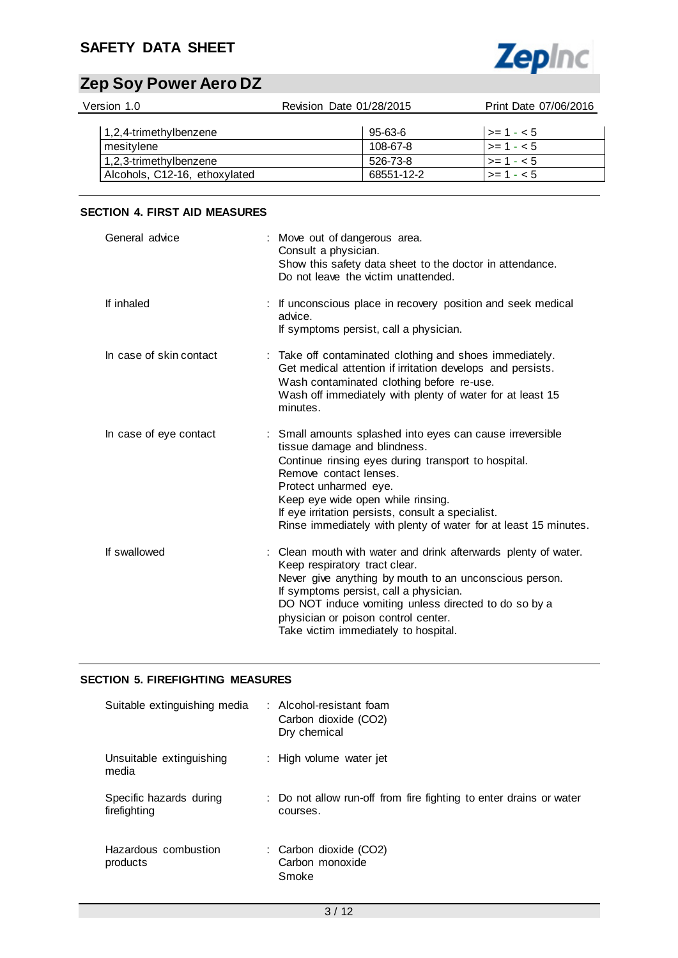## **SAFETY DATA SHEET**



# **Zep Soy Power Aero DZ**

| Version 1.0                   | Revision Date 01/28/2015 | Print Date 07/06/2016 |
|-------------------------------|--------------------------|-----------------------|
| 1,2,4-trimethylbenzene        | 95-63-6                  | $\vert$ >= 1 - < 5    |
| mesitylene                    | 108-67-8                 | $>= 1 - 5$            |
| 1,2,3-trimethylbenzene        | 526-73-8                 | $>= 1 - 5$            |
| Alcohols, C12-16, ethoxylated | 68551-12-2               | $>= 1 - 5$            |

## **SECTION 4. FIRST AID MEASURES**

| General advice          | : Move out of dangerous area.<br>Consult a physician.<br>Show this safety data sheet to the doctor in attendance.<br>Do not leave the victim unattended.                                                                                                                                                                                                         |
|-------------------------|------------------------------------------------------------------------------------------------------------------------------------------------------------------------------------------------------------------------------------------------------------------------------------------------------------------------------------------------------------------|
| If inhaled              | : If unconscious place in recovery position and seek medical<br>advice.<br>If symptoms persist, call a physician.                                                                                                                                                                                                                                                |
| In case of skin contact | : Take off contaminated clothing and shoes immediately.<br>Get medical attention if irritation develops and persists.<br>Wash contaminated clothing before re-use.<br>Wash off immediately with plenty of water for at least 15<br>minutes.                                                                                                                      |
| In case of eye contact  | : Small amounts splashed into eyes can cause irreversible<br>tissue damage and blindness.<br>Continue rinsing eyes during transport to hospital.<br>Remove contact lenses.<br>Protect unharmed eye.<br>Keep eye wide open while rinsing.<br>If eye irritation persists, consult a specialist.<br>Rinse immediately with plenty of water for at least 15 minutes. |
| If swallowed            | : Clean mouth with water and drink afterwards plenty of water.<br>Keep respiratory tract clear.<br>Never give anything by mouth to an unconscious person.<br>If symptoms persist, call a physician.<br>DO NOT induce vomiting unless directed to do so by a<br>physician or poison control center.<br>Take victim immediately to hospital.                       |

## **SECTION 5. FIREFIGHTING MEASURES**

| Suitable extinguishing media            | : Alcohol-resistant foam<br>Carbon dioxide (CO2)<br>Dry chemical               |
|-----------------------------------------|--------------------------------------------------------------------------------|
| Unsuitable extinguishing<br>media       | : High volume water jet                                                        |
| Specific hazards during<br>firefighting | : Do not allow run-off from fire fighting to enter drains or water<br>courses. |
| Hazardous combustion<br>products        | : Carbon dioxide (CO2)<br>Carbon monoxide<br>Smoke                             |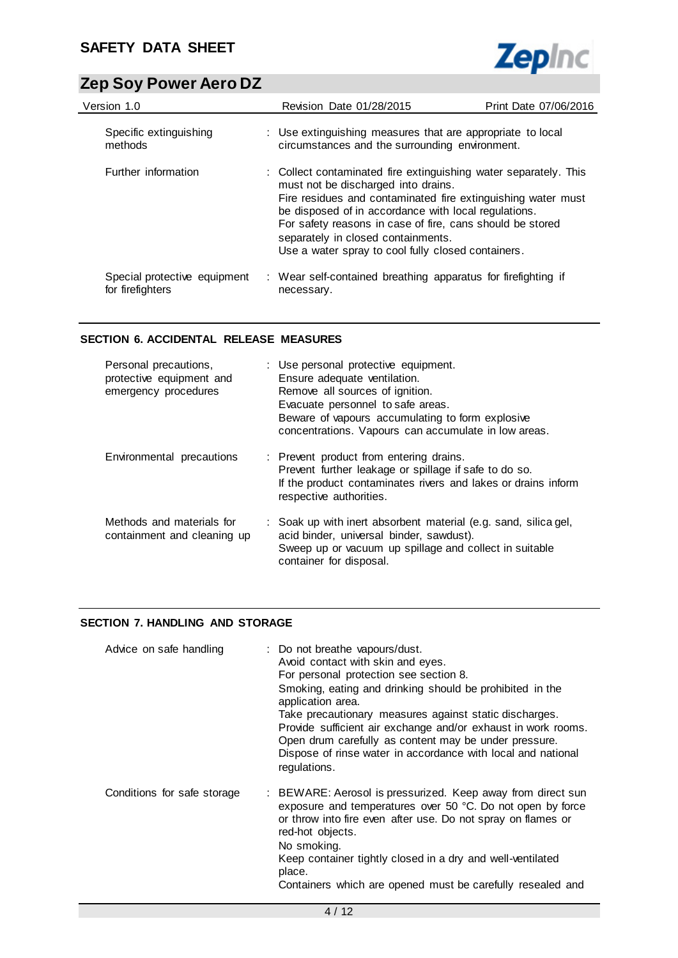

| Version 1.0                                      | Revision Date 01/28/2015                                                                                                                                                                                                                                                                                                                                                                 | Print Date 07/06/2016 |
|--------------------------------------------------|------------------------------------------------------------------------------------------------------------------------------------------------------------------------------------------------------------------------------------------------------------------------------------------------------------------------------------------------------------------------------------------|-----------------------|
| Specific extinguishing<br>methods                | : Use extinguishing measures that are appropriate to local<br>circumstances and the surrounding environment.                                                                                                                                                                                                                                                                             |                       |
| Further information                              | : Collect contaminated fire extinguishing water separately. This<br>must not be discharged into drains.<br>Fire residues and contaminated fire extinguishing water must<br>be disposed of in accordance with local regulations.<br>For safety reasons in case of fire, cans should be stored<br>separately in closed containments.<br>Use a water spray to cool fully closed containers. |                       |
| Special protective equipment<br>for firefighters | : Wear self-contained breathing apparatus for firefighting if<br>necessary.                                                                                                                                                                                                                                                                                                              |                       |

## **SECTION 6. ACCIDENTAL RELEASE MEASURES**

| Personal precautions,<br>protective equipment and<br>emergency procedures | : Use personal protective equipment.<br>Ensure adequate ventilation.<br>Remove all sources of ignition.<br>Evacuate personnel to safe areas.<br>Beware of vapours accumulating to form explosive<br>concentrations. Vapours can accumulate in low areas. |
|---------------------------------------------------------------------------|----------------------------------------------------------------------------------------------------------------------------------------------------------------------------------------------------------------------------------------------------------|
| Environmental precautions                                                 | : Prevent product from entering drains.<br>Prevent further leakage or spillage if safe to do so.<br>If the product contaminates rivers and lakes or drains inform<br>respective authorities.                                                             |
| Methods and materials for<br>containment and cleaning up                  | : Soak up with inert absorbent material (e.g. sand, silica gel,<br>acid binder, universal binder, sawdust).<br>Sweep up or vacuum up spillage and collect in suitable<br>container for disposal.                                                         |

### **SECTION 7. HANDLING AND STORAGE**

| Advice on safe handling     | : Do not breathe vapours/dust.<br>Avoid contact with skin and eyes.<br>For personal protection see section 8.<br>Smoking, eating and drinking should be prohibited in the<br>application area.<br>Take precautionary measures against static discharges.<br>Provide sufficient air exchange and/or exhaust in work rooms.<br>Open drum carefully as content may be under pressure.<br>Dispose of rinse water in accordance with local and national<br>regulations. |
|-----------------------------|--------------------------------------------------------------------------------------------------------------------------------------------------------------------------------------------------------------------------------------------------------------------------------------------------------------------------------------------------------------------------------------------------------------------------------------------------------------------|
| Conditions for safe storage | : BEWARE: Aerosol is pressurized. Keep away from direct sun<br>exposure and temperatures over 50 °C. Do not open by force<br>or throw into fire even after use. Do not spray on flames or<br>red-hot objects.<br>No smoking.<br>Keep container tightly closed in a dry and well-ventilated<br>place.<br>Containers which are opened must be carefully resealed and                                                                                                 |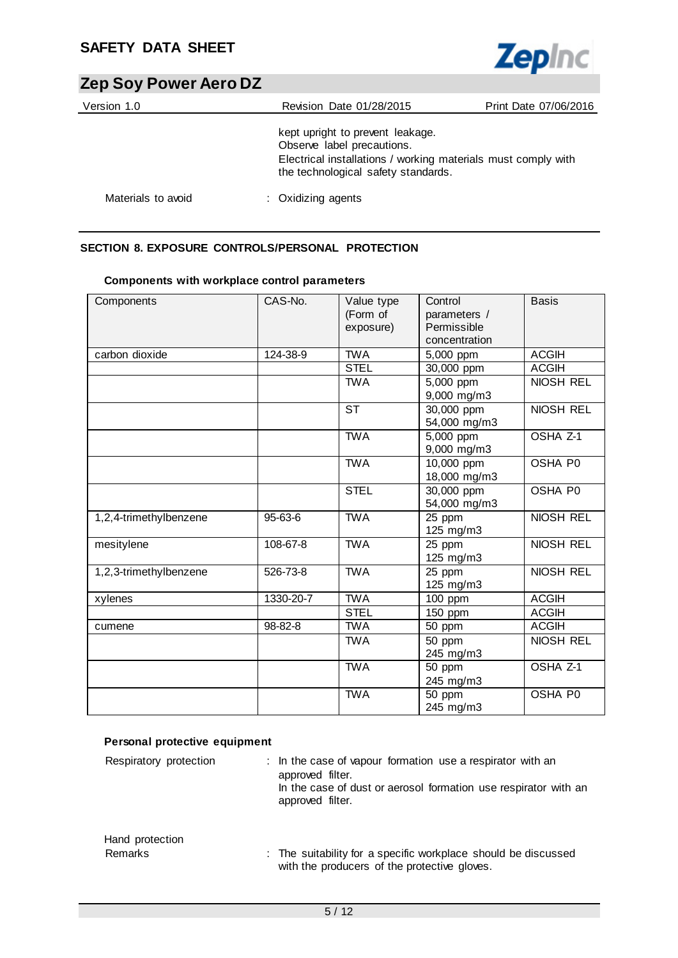

| Version 1.0        | Revision Date 01/28/2015                                                                                                                                               | Print Date 07/06/2016 |
|--------------------|------------------------------------------------------------------------------------------------------------------------------------------------------------------------|-----------------------|
|                    | kept upright to prevent leakage.<br>Observe label precautions.<br>Electrical installations / working materials must comply with<br>the technological safety standards. |                       |
| Materials to avoid | : Oxidizing agents                                                                                                                                                     |                       |

## **SECTION 8. EXPOSURE CONTROLS/PERSONAL PROTECTION**

| Components             | CAS-No.   | Value type<br>(Form of<br>exposure) | Control<br>parameters /<br>Permissible<br>concentration | <b>Basis</b>     |
|------------------------|-----------|-------------------------------------|---------------------------------------------------------|------------------|
| carbon dioxide         | 124-38-9  | <b>TWA</b>                          | 5,000 ppm                                               | <b>ACGIH</b>     |
|                        |           | <b>STEL</b>                         | 30,000 ppm                                              | <b>ACGIH</b>     |
|                        |           | <b>TWA</b>                          | 5,000 ppm<br>9,000 mg/m3                                | <b>NIOSH REL</b> |
|                        |           | <b>ST</b>                           | $\overline{30,000}$ ppm<br>54,000 mg/m3                 | <b>NIOSH REL</b> |
|                        |           | <b>TWA</b>                          | 5,000 ppm<br>9,000 mg/m3                                | OSHA Z-1         |
|                        |           | <b>TWA</b>                          | 10,000 ppm<br>18,000 mg/m3                              | OSHA P0          |
|                        |           | <b>STEL</b>                         | 30,000 ppm<br>54,000 mg/m3                              | OSHA P0          |
| 1,2,4-trimethylbenzene | 95-63-6   | <b>TWA</b>                          | 25 ppm<br>125 mg/m3                                     | NIOSH REL        |
| mesitylene             | 108-67-8  | <b>TWA</b>                          | 25 ppm<br>125 mg/m3                                     | <b>NIOSH REL</b> |
| 1,2,3-trimethylbenzene | 526-73-8  | <b>TWA</b>                          | 25 ppm<br>125 mg/m3                                     | <b>NIOSH REL</b> |
| xylenes                | 1330-20-7 | <b>TWA</b>                          | 100 ppm                                                 | <b>ACGIH</b>     |
|                        |           | <b>STEL</b>                         | 150 ppm                                                 | <b>ACGIH</b>     |
| cumene                 | 98-82-8   | <b>TWA</b>                          | 50 ppm                                                  | <b>ACGIH</b>     |
|                        |           | <b>TWA</b>                          | 50 ppm<br>245 mg/m3                                     | NIOSH REL        |
|                        |           | <b>TWA</b>                          | 50 ppm<br>245 mg/m3                                     | OSHA Z-1         |
|                        |           | <b>TWA</b>                          | 50 ppm<br>245 mg/m3                                     | OSHA P0          |

## **Components with workplace control parameters**

## **Personal protective equipment**

| Respiratory protection     | : In the case of vapour formation use a respirator with an<br>approved filter.<br>In the case of dust or aerosol formation use respirator with an<br>approved filter. |
|----------------------------|-----------------------------------------------------------------------------------------------------------------------------------------------------------------------|
| Hand protection<br>Remarks | : The suitability for a specific workplace should be discussed<br>with the producers of the protective gloves.                                                        |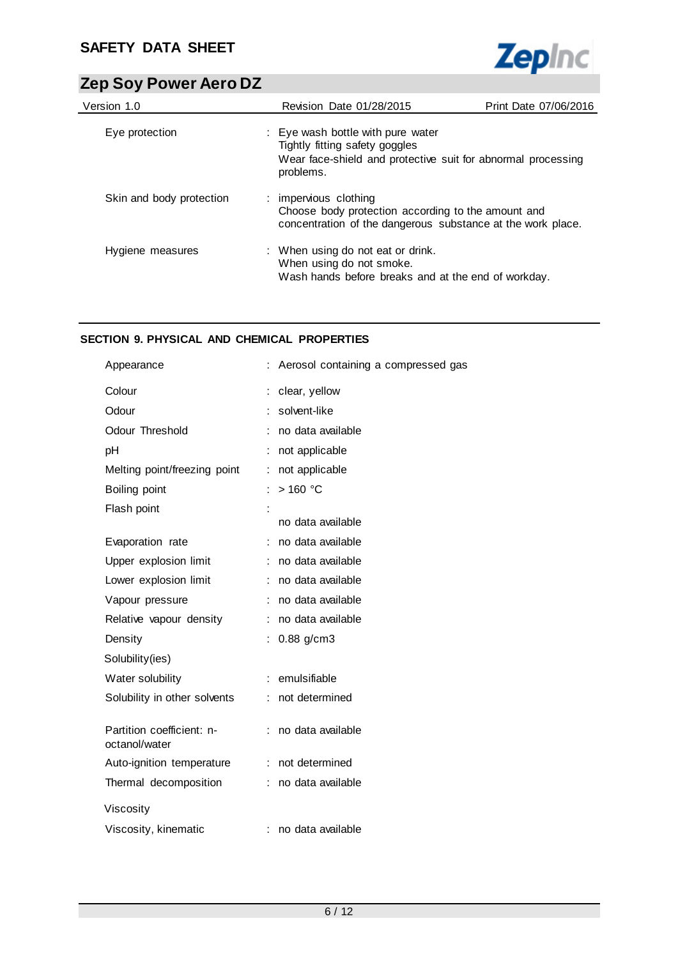

| Version 1.0              | Revision Date 01/28/2015                                                                                                                         | Print Date 07/06/2016 |
|--------------------------|--------------------------------------------------------------------------------------------------------------------------------------------------|-----------------------|
| Eye protection           | : Eye wash bottle with pure water<br>Tightly fitting safety goggles<br>Wear face-shield and protective suit for abnormal processing<br>problems. |                       |
| Skin and body protection | : impervious clothing<br>Choose body protection according to the amount and<br>concentration of the dangerous substance at the work place.       |                       |
| Hygiene measures         | : When using do not eat or drink.<br>When using do not smoke.<br>Wash hands before breaks and at the end of workday.                             |                       |

## **SECTION 9. PHYSICAL AND CHEMICAL PROPERTIES**

| Appearance                                 | Aerosol containing a compressed gas |
|--------------------------------------------|-------------------------------------|
| Colour                                     | clear, yellow                       |
| Odour                                      | solvent-like                        |
| Odour Threshold                            | no data available                   |
| pH                                         | not applicable                      |
| Melting point/freezing point               | not applicable                      |
| Boiling point                              | $>160$ °C                           |
| Flash point                                |                                     |
|                                            | no data available                   |
| Evaporation rate                           | no data available                   |
| Upper explosion limit                      | no data available<br>÷              |
| Lower explosion limit                      | no data available<br>÷.             |
| Vapour pressure                            | no data available                   |
| Relative vapour density                    | no data available                   |
| Density                                    | $0.88$ g/cm3                        |
| Solubility(ies)                            |                                     |
| Water solubility                           | emulsifiable                        |
| Solubility in other solvents               | not determined                      |
|                                            |                                     |
| Partition coefficient: n-<br>octanol/water | no data available                   |
| Auto-ignition temperature                  | not determined<br>÷.                |
| Thermal decomposition                      | no data available<br>÷.             |
| Viscosity                                  |                                     |
|                                            |                                     |
| Viscosity, kinematic                       | no data available                   |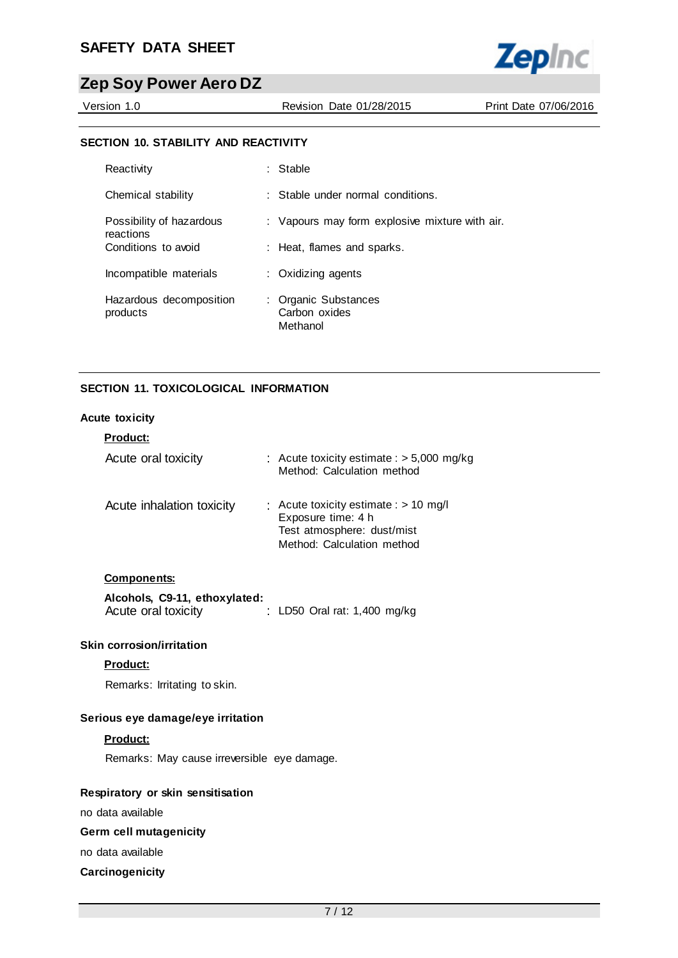

Version 1.0 Revision Date 01/28/2015 Print Date 07/06/2016

#### **SECTION 10. STABILITY AND REACTIVITY**

| Reactivity                            | : Stable                                          |
|---------------------------------------|---------------------------------------------------|
| Chemical stability                    | : Stable under normal conditions.                 |
| Possibility of hazardous<br>reactions | : Vapours may form explosive mixture with air.    |
| Conditions to avoid                   | : Heat, flames and sparks.                        |
| Incompatible materials                | : Oxidizing agents                                |
| Hazardous decomposition<br>products   | : Organic Substances<br>Carbon oxides<br>Methanol |

## **SECTION 11. TOXICOLOGICAL INFORMATION**

#### **Acute toxicity**

| <b>Product:</b>           |                                                                                                                           |
|---------------------------|---------------------------------------------------------------------------------------------------------------------------|
| Acute oral toxicity       | : Acute toxicity estimate : $>$ 5,000 mg/kg<br>Method: Calculation method                                                 |
| Acute inhalation toxicity | : Acute toxicity estimate : $> 10$ mg/l<br>Exposure time: 4 h<br>Test atmosphere: dust/mist<br>Method: Calculation method |

#### **Components:**

| Alcohols, C9-11, ethoxylated: |                                |  |
|-------------------------------|--------------------------------|--|
| Acute oral toxicity           | : LD50 Oral rat: $1,400$ mg/kg |  |

### **Skin corrosion/irritation**

## **Product:**

Remarks: Irritating to skin.

## **Serious eye damage/eye irritation**

#### **Product:**

Remarks: May cause irreversible eye damage.

#### **Respiratory or skin sensitisation**

no data available

## **Germ cell mutagenicity**

no data available

#### **Carcinogenicity**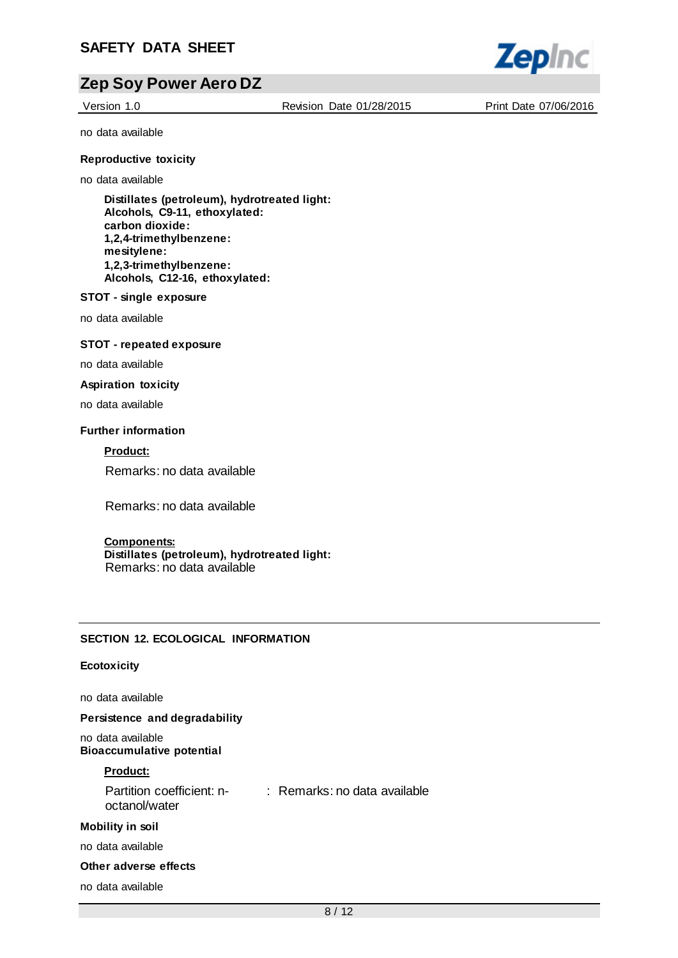

Version 1.0 Revision Date 01/28/2015 Print Date 07/06/2016

no data available

#### **Reproductive toxicity**

no data available

**Distillates (petroleum), hydrotreated light: Alcohols, C9-11, ethoxylated: carbon dioxide: 1,2,4-trimethylbenzene: mesitylene: 1,2,3-trimethylbenzene: Alcohols, C12-16, ethoxylated:**

#### **STOT - single exposure**

no data available

#### **STOT - repeated exposure**

no data available

#### **Aspiration toxicity**

no data available

#### **Further information**

**Product:**

Remarks: no data available

Remarks: no data available

#### **Components:**

**Distillates (petroleum), hydrotreated light:** Remarks: no data available

#### **SECTION 12. ECOLOGICAL INFORMATION**

#### **Ecotoxicity**

no data available

**Persistence and degradability**

no data available **Bioaccumulative potential**

#### **Product:**

Partition coefficient: n-: Remarks: no data available octanol/water

#### **Mobility in soil**

no data available

#### **Other adverse effects**

no data available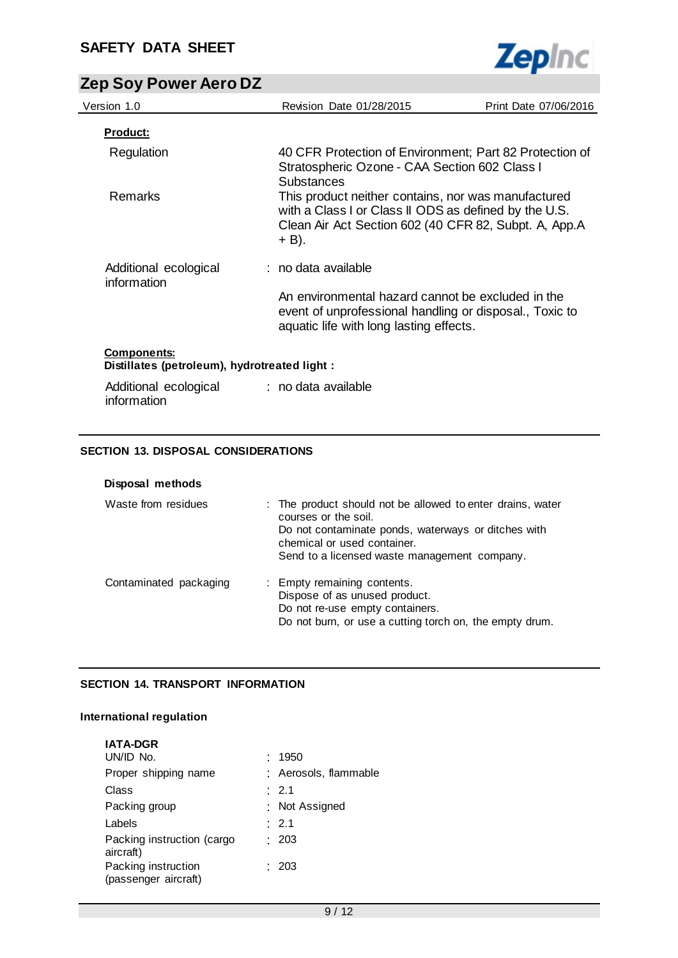

| Version 1.0                                                        | Revision Date 01/28/2015                                                                                                                                                       | Print Date 07/06/2016 |
|--------------------------------------------------------------------|--------------------------------------------------------------------------------------------------------------------------------------------------------------------------------|-----------------------|
| <u>Product:</u>                                                    |                                                                                                                                                                                |                       |
| Regulation                                                         | 40 CFR Protection of Environment; Part 82 Protection of<br>Stratospheric Ozone - CAA Section 602 Class I<br><b>Substances</b>                                                  |                       |
| <b>Remarks</b>                                                     | This product neither contains, nor was manufactured<br>with a Class I or Class II ODS as defined by the U.S.<br>Clean Air Act Section 602 (40 CFR 82, Subpt. A, App.A<br>+ B). |                       |
| Additional ecological<br>information                               | : no data available                                                                                                                                                            |                       |
|                                                                    | An environmental hazard cannot be excluded in the<br>event of unprofessional handling or disposal., Toxic to<br>aquatic life with long lasting effects.                        |                       |
| <b>Components:</b><br>Distillates (petroleum), hydrotreated light: |                                                                                                                                                                                |                       |
| Additional ecological                                              | : no data available                                                                                                                                                            |                       |

## **SECTION 13. DISPOSAL CONSIDERATIONS**

information

| Disposal methods       |                                                                                                                                                                                                                          |
|------------------------|--------------------------------------------------------------------------------------------------------------------------------------------------------------------------------------------------------------------------|
| Waste from residues    | : The product should not be allowed to enter drains, water<br>courses or the soil.<br>Do not contaminate ponds, waterways or ditches with<br>chemical or used container.<br>Send to a licensed waste management company. |
| Contaminated packaging | : Empty remaining contents.<br>Dispose of as unused product.<br>Do not re-use empty containers.<br>Do not burn, or use a cutting torch on, the empty drum.                                                               |

## **SECTION 14. TRANSPORT INFORMATION**

## **International regulation**

| <b>IATA-DGR</b>                             |                       |
|---------------------------------------------|-----------------------|
| UN/ID No.                                   | 1950                  |
| Proper shipping name                        | : Aerosols, flammable |
| Class                                       | $\therefore$ 2.1      |
| Packing group                               | : Not Assigned        |
| Labels                                      | : 2.1                 |
| Packing instruction (cargo<br>aircraft)     | : 203                 |
| Packing instruction<br>(passenger aircraft) | : 203                 |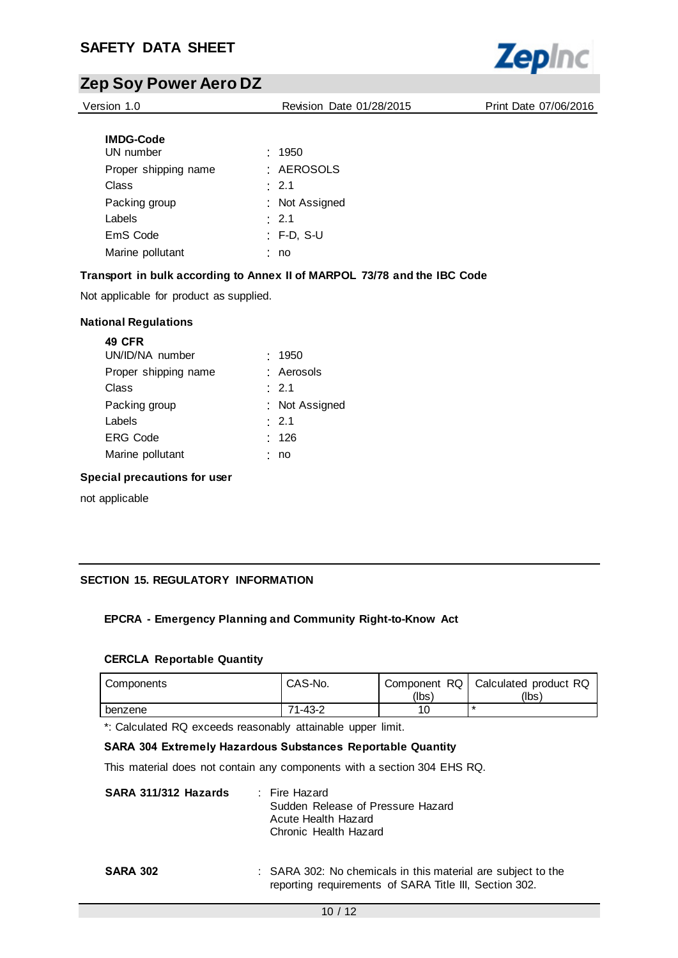

Version 1.0 Revision Date 01/28/2015 Print Date 07/06/2016

| <b>IMDG-Code</b>     |                |
|----------------------|----------------|
| UN number            | .1950          |
| Proper shipping name | · AEROSOLS     |
| Class                | $\cdot$ 2.1    |
| Packing group        | : Not Assigned |
| Labels               | $\cdot$ 2.1    |
| EmS Code             | : F-D, S-U     |
| Marine pollutant     | no             |

## **Transport in bulk according to Annex II of MARPOL 73/78 and the IBC Code**

Not applicable for product as supplied.

#### **National Regulations**

| .1950            |
|------------------|
| : Aerosols       |
| $\therefore$ 2.1 |
| : Not Assigned   |
| $\therefore$ 2.1 |
| : 126            |
| no               |
|                  |

#### **Special precautions for user**

not applicable

## **SECTION 15. REGULATORY INFORMATION**

### **EPCRA - Emergency Planning and Community Right-to-Know Act**

#### **CERCLA Reportable Quantity**

| Components | CAS-No. | Component RQ  <br>(lbs) | Calculated product RQ<br>(lbs) |
|------------|---------|-------------------------|--------------------------------|
| benzene    | 71-43-2 |                         |                                |

\*: Calculated RQ exceeds reasonably attainable upper limit.

#### **SARA 304 Extremely Hazardous Substances Reportable Quantity**

This material does not contain any components with a section 304 EHS RQ.

| SARA 311/312 Hazards | : Fire Hazard                                                                     |
|----------------------|-----------------------------------------------------------------------------------|
|                      | Sudden Release of Pressure Hazard<br>Acute Health Hazard<br>Chronic Health Hazard |
|                      |                                                                                   |

#### **SARA 302** : SARA 302: No chemicals in this material are subject to the reporting requirements of SARA Title III, Section 302.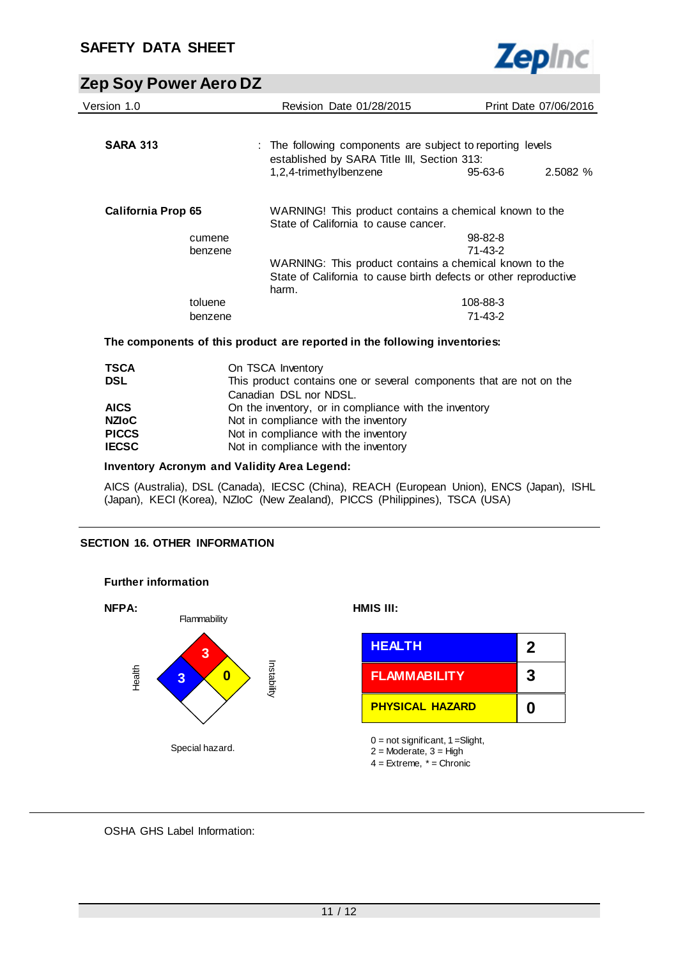

| Version 1.0               | <b>Revision Date 01/28/2015</b>                                                                           |               | Print Date 07/06/2016 |
|---------------------------|-----------------------------------------------------------------------------------------------------------|---------------|-----------------------|
| <b>SARA 313</b>           | : The following components are subject to reporting levels<br>established by SARA Title III, Section 313: |               |                       |
|                           | 1,2,4-trimethylbenzene                                                                                    | 95-63-6       | 2.5082 %              |
| <b>California Prop 65</b> | WARNING! This product contains a chemical known to the<br>State of California to cause cancer.            |               |                       |
| cumene                    |                                                                                                           | $98 - 82 - 8$ |                       |
| benzene                   |                                                                                                           | 71-43-2       |                       |
|                           | WARNING: This product contains a chemical known to the                                                    |               |                       |
|                           | State of California to cause birth defects or other reproductive<br>harm.                                 |               |                       |
| toluene                   |                                                                                                           | 108-88-3      |                       |
| benzene                   |                                                                                                           | $71 - 43 - 2$ |                       |
|                           | The components of this product are reported in the following inventories:                                 |               |                       |

| TSCA<br>DSL  | On TSCA Inventory<br>This product contains one or several components that are not on the<br>Canadian DSL nor NDSL. |
|--------------|--------------------------------------------------------------------------------------------------------------------|
| <b>AICS</b>  | On the inventory, or in compliance with the inventory                                                              |
| NZIoC        | Not in compliance with the inventory                                                                               |
| <b>PICCS</b> | Not in compliance with the inventory                                                                               |
| IECSC        | Not in compliance with the inventory                                                                               |

#### **Inventory Acronym and Validity Area Legend:**

AICS (Australia), DSL (Canada), IECSC (China), REACH (European Union), ENCS (Japan), ISHL (Japan), KECI (Korea), NZIoC (New Zealand), PICCS (Philippines), TSCA (USA)

### **SECTION 16. OTHER INFORMATION**



## OSHA GHS Label Information: